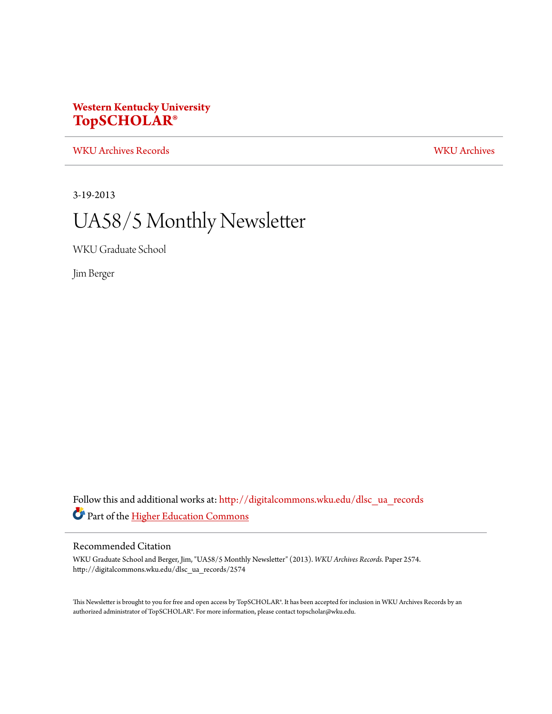# **Western Kentucky University [TopSCHOLAR®](http://digitalcommons.wku.edu?utm_source=digitalcommons.wku.edu%2Fdlsc_ua_records%2F2574&utm_medium=PDF&utm_campaign=PDFCoverPages)**

[WKU Archives Records](http://digitalcommons.wku.edu/dlsc_ua_records?utm_source=digitalcommons.wku.edu%2Fdlsc_ua_records%2F2574&utm_medium=PDF&utm_campaign=PDFCoverPages) [WKU Archives](http://digitalcommons.wku.edu/dlsc_ua?utm_source=digitalcommons.wku.edu%2Fdlsc_ua_records%2F2574&utm_medium=PDF&utm_campaign=PDFCoverPages)

3-19-2013

# UA58/5 Monthly Newsletter

WKU Graduate School

Jim Berger

Follow this and additional works at: [http://digitalcommons.wku.edu/dlsc\\_ua\\_records](http://digitalcommons.wku.edu/dlsc_ua_records?utm_source=digitalcommons.wku.edu%2Fdlsc_ua_records%2F2574&utm_medium=PDF&utm_campaign=PDFCoverPages) Part of the [Higher Education Commons](http://network.bepress.com/hgg/discipline/1245?utm_source=digitalcommons.wku.edu%2Fdlsc_ua_records%2F2574&utm_medium=PDF&utm_campaign=PDFCoverPages)

#### Recommended Citation

WKU Graduate School and Berger, Jim, "UA58/5 Monthly Newsletter" (2013). *WKU Archives Records.* Paper 2574. http://digitalcommons.wku.edu/dlsc\_ua\_records/2574

This Newsletter is brought to you for free and open access by TopSCHOLAR®. It has been accepted for inclusion in WKU Archives Records by an authorized administrator of TopSCHOLAR®. For more information, please contact topscholar@wku.edu.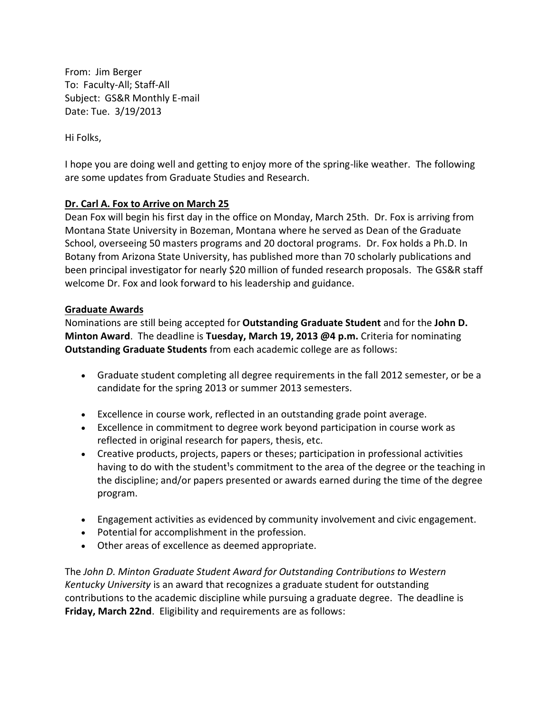From: Jim Berger To: Faculty-All; Staff-All Subject: GS&R Monthly E-mail Date: Tue. 3/19/2013

Hi Folks,

I hope you are doing well and getting to enjoy more of the spring-like weather. The following are some updates from Graduate Studies and Research.

# **Dr. Carl A. Fox to Arrive on March 25**

Dean Fox will begin his first day in the office on Monday, March 25th. Dr. Fox is arriving from Montana State University in Bozeman, Montana where he served as Dean of the Graduate School, overseeing 50 masters programs and 20 doctoral programs. Dr. Fox holds a Ph.D. In Botany from Arizona State University, has published more than 70 scholarly publications and been principal investigator for nearly \$20 million of funded research proposals. The GS&R staff welcome Dr. Fox and look forward to his leadership and guidance.

#### **Graduate Awards**

Nominations are still being accepted for **Outstanding Graduate Student** and for the **John D. Minton Award**. The deadline is **Tuesday, March 19, 2013 @4 p.m.** Criteria for nominating **Outstanding Graduate Students** from each academic college are as follows:

- Graduate student completing all degree requirements in the fall 2012 semester, or be a candidate for the spring 2013 or summer 2013 semesters.
- Excellence in course work, reflected in an outstanding grade point average.
- Excellence in commitment to degree work beyond participation in course work as reflected in original research for papers, thesis, etc.
- Creative products, projects, papers or theses; participation in professional activities having to do with the student<sup>1</sup>s commitment to the area of the degree or the teaching in the discipline; and/or papers presented or awards earned during the time of the degree program.
- Engagement activities as evidenced by community involvement and civic engagement.
- Potential for accomplishment in the profession.
- Other areas of excellence as deemed appropriate.

The *John D. Minton Graduate Student Award for Outstanding Contributions to Western Kentucky University* is an award that recognizes a graduate student for outstanding contributions to the academic discipline while pursuing a graduate degree. The deadline is **Friday, March 22nd**. Eligibility and requirements are as follows: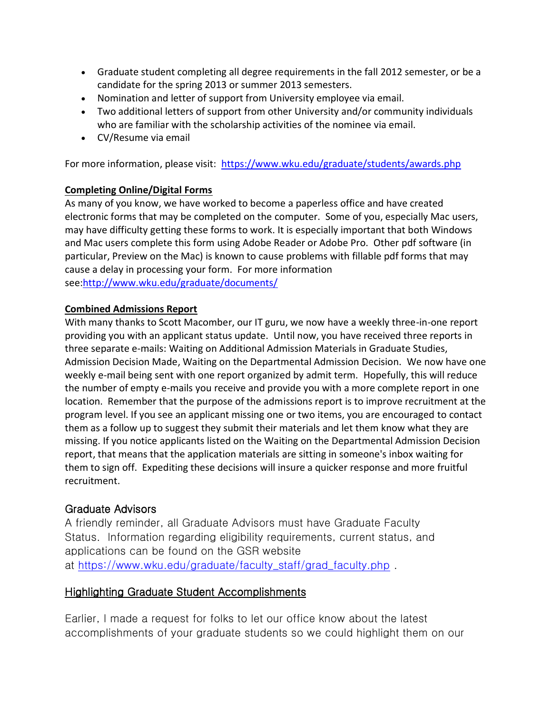- Graduate student completing all degree requirements in the fall 2012 semester, or be a candidate for the spring 2013 or summer 2013 semesters.
- Nomination and letter of support from University employee via email.
- Two additional letters of support from other University and/or community individuals who are familiar with the scholarship activities of the nominee via email.
- CV/Resume via email

For more information, please visit: <https://www.wku.edu/graduate/students/awards.php>

# **Completing Online/Digital Forms**

As many of you know, we have worked to become a paperless office and have created electronic forms that may be completed on the computer. Some of you, especially Mac users, may have difficulty getting these forms to work. It is especially important that both Windows and Mac users complete this form using Adobe Reader or Adobe Pro. Other pdf software (in particular, Preview on the Mac) is known to cause problems with fillable pdf forms that may cause a delay in processing your form. For more information see[:http://www.wku.edu/graduate/documents/](http://www.wku.edu/graduate/documents/)

# **Combined Admissions Report**

With many thanks to Scott Macomber, our IT guru, we now have a weekly three-in-one report providing you with an applicant status update. Until now, you have received three reports in three separate e-mails: Waiting on Additional Admission Materials in Graduate Studies, Admission Decision Made, Waiting on the Departmental Admission Decision. We now have one weekly e-mail being sent with one report organized by admit term. Hopefully, this will reduce the number of empty e-mails you receive and provide you with a more complete report in one location. Remember that the purpose of the admissions report is to improve recruitment at the program level. If you see an applicant missing one or two items, you are encouraged to contact them as a follow up to suggest they submit their materials and let them know what they are missing. If you notice applicants listed on the Waiting on the Departmental Admission Decision report, that means that the application materials are sitting in someone's inbox waiting for them to sign off. Expediting these decisions will insure a quicker response and more fruitful recruitment.

# Graduate Advisors

A friendly reminder, all Graduate Advisors must have Graduate Faculty Status. Information regarding eligibility requirements, current status, and applications can be found on the GSR website at [https://www.wku.edu/graduate/faculty\\_staff/grad\\_faculty.php](https://www.wku.edu/graduate/faculty_staff/grad_faculty.php) .

# Highlighting Graduate Student Accomplishments

Earlier, I made a request for folks to let our office know about the latest accomplishments of your graduate students so we could highlight them on our